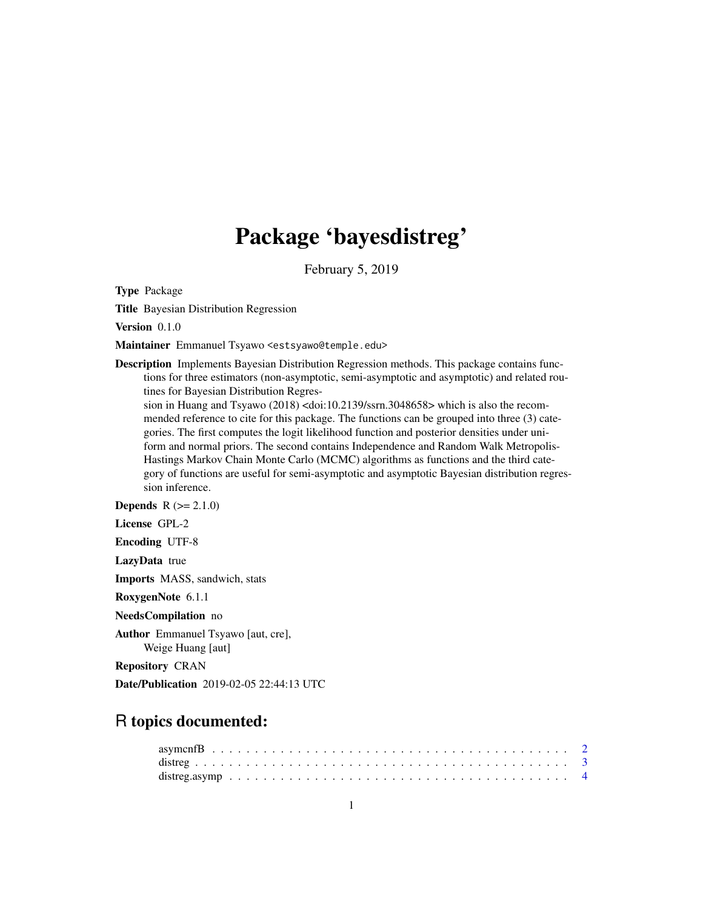# Package 'bayesdistreg'

February 5, 2019

Type Package

Title Bayesian Distribution Regression

Version 0.1.0

Maintainer Emmanuel Tsyawo <estsyawo@temple.edu>

Description Implements Bayesian Distribution Regression methods. This package contains functions for three estimators (non-asymptotic, semi-asymptotic and asymptotic) and related routines for Bayesian Distribution Regres-

sion in Huang and Tsyawo (2018) <doi:10.2139/ssrn.3048658> which is also the recommended reference to cite for this package. The functions can be grouped into three (3) categories. The first computes the logit likelihood function and posterior densities under uniform and normal priors. The second contains Independence and Random Walk Metropolis-Hastings Markov Chain Monte Carlo (MCMC) algorithms as functions and the third category of functions are useful for semi-asymptotic and asymptotic Bayesian distribution regression inference.

**Depends**  $R (= 2.1.0)$ 

License GPL-2

Encoding UTF-8

LazyData true

Imports MASS, sandwich, stats

RoxygenNote 6.1.1

NeedsCompilation no

Author Emmanuel Tsyawo [aut, cre], Weige Huang [aut]

Repository CRAN

Date/Publication 2019-02-05 22:44:13 UTC

# R topics documented: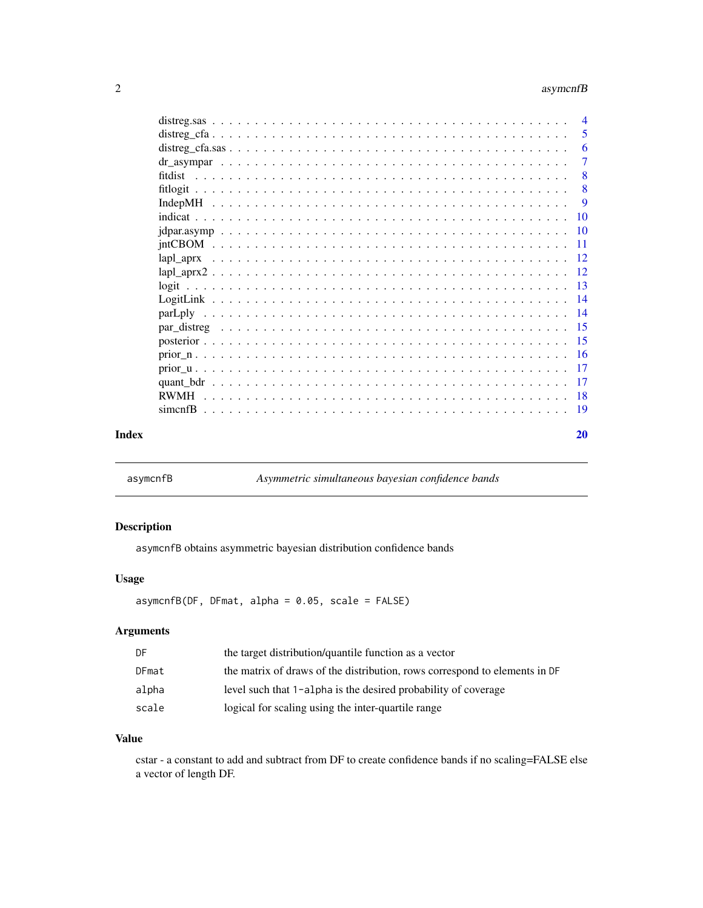# <span id="page-1-0"></span>2 asymcnfB

|       |             | $\overline{4}$            |
|-------|-------------|---------------------------|
|       |             | -5                        |
|       |             | -6                        |
|       |             | 7                         |
|       |             | -8                        |
|       |             | $\overline{\phantom{0}}8$ |
|       |             | -9                        |
|       |             |                           |
|       |             |                           |
|       |             |                           |
|       |             |                           |
|       |             |                           |
|       |             |                           |
|       |             |                           |
|       |             |                           |
|       |             |                           |
|       |             |                           |
|       |             |                           |
|       |             |                           |
|       |             |                           |
|       | <b>RWMH</b> |                           |
|       |             |                           |
| Index |             | 20                        |

asymcnfB *Asymmetric simultaneous bayesian confidence bands*

# Description

asymcnfB obtains asymmetric bayesian distribution confidence bands

# Usage

asymcnfB(DF, DFmat, alpha = 0.05, scale = FALSE)

# Arguments

| DF    | the target distribution/quantile function as a vector                      |
|-------|----------------------------------------------------------------------------|
| DFmat | the matrix of draws of the distribution, rows correspond to elements in DF |
| alpha | level such that 1-alpha is the desired probability of coverage             |
| scale | logical for scaling using the inter-quartile range                         |

# Value

cstar - a constant to add and subtract from DF to create confidence bands if no scaling=FALSE else a vector of length DF.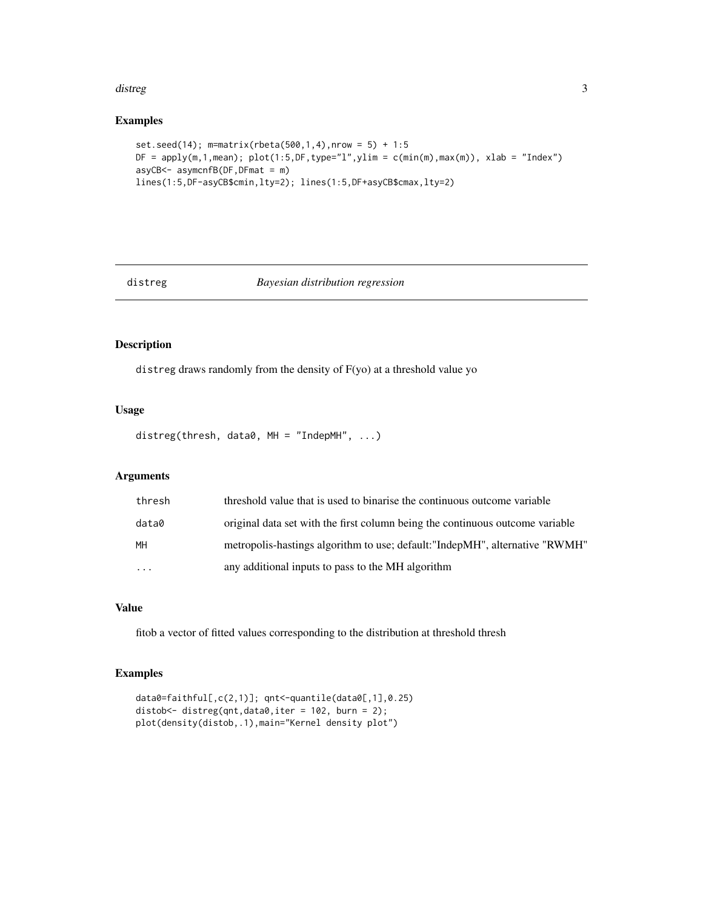#### <span id="page-2-0"></span>distreg **3**

# Examples

```
set.seed(14); m=matrix(rbeta(500,1,4),nrow = 5) + 1:5DF = apply(m, 1, mean); plot(1:5, DF, type="1", ylim = c(min(m), max(m)), xlab = "Index")asyCB<- asymcnfB(DF,DFmat = m)
lines(1:5,DF-asyCB$cmin,lty=2); lines(1:5,DF+asyCB$cmax,lty=2)
```
# distreg *Bayesian distribution regression*

# Description

distreg draws randomly from the density of F(yo) at a threshold value yo

# Usage

distreg(thresh, data0, MH = "IndepMH", ...)

# Arguments

| thresh | threshold value that is used to binarise the continuous outcome variable      |
|--------|-------------------------------------------------------------------------------|
| data0  | original data set with the first column being the continuous outcome variable |
| MH     | metropolis-hastings algorithm to use; default: "IndepMH", alternative "RWMH"  |
| .      | any additional inputs to pass to the MH algorithm                             |

# Value

fitob a vector of fitted values corresponding to the distribution at threshold thresh

```
data0=faithful[,c(2,1)]; qnt<-quantile(data0[,1],0.25)
distob<- distreg(qnt,data0,iter = 102, burn = 2);
plot(density(distob,.1),main="Kernel density plot")
```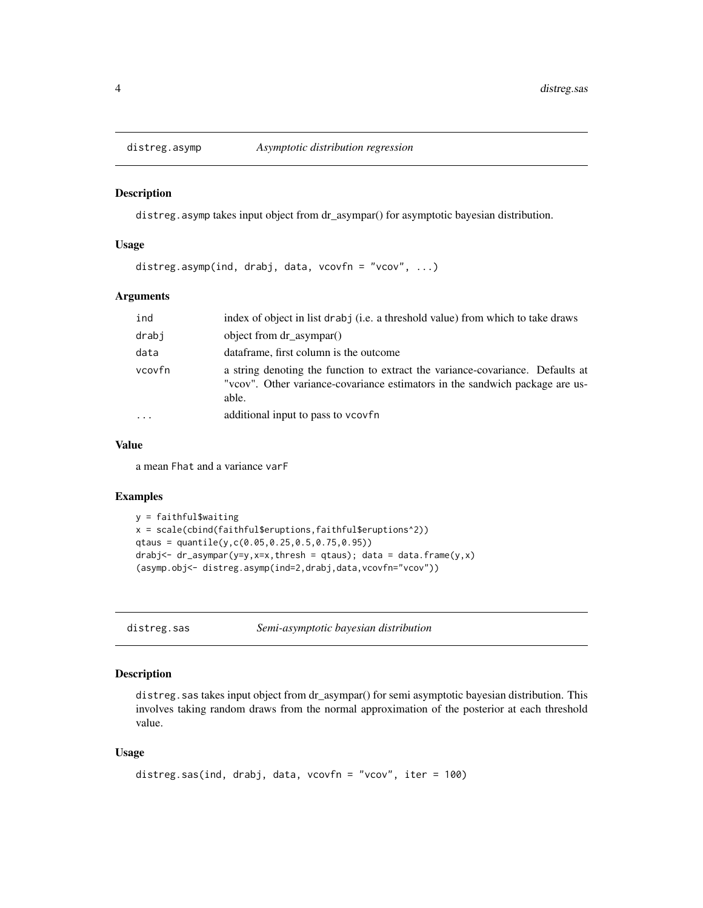<span id="page-3-0"></span>

distreg.asymp takes input object from dr\_asympar() for asymptotic bayesian distribution.

#### Usage

distreg.asymp(ind, drabj, data, vcovfn = "vcov", ...)

#### Arguments

| ind    | index of object in list drab j (i.e. a threshold value) from which to take draws                                                                                        |
|--------|-------------------------------------------------------------------------------------------------------------------------------------------------------------------------|
| drabi  | object from dr_asympar()                                                                                                                                                |
| data   | dataframe, first column is the outcome                                                                                                                                  |
| vcovfn | a string denoting the function to extract the variance-covariance. Defaults at<br>"vcov". Other variance-covariance estimators in the sandwich package are us-<br>able. |
|        | additional input to pass to vcovfn                                                                                                                                      |

#### Value

a mean Fhat and a variance varF

#### Examples

```
y = faithful$waiting
x = scale(cbind(faithful$eruptions,faithful$eruptions^2))
qtaus = quantile(y,c(0.05,0.25,0.5,0.75,0.95))
drabj<- dr\_{asymp}n(r=y, x=x, thresh = qtaus); data = data.frame(y, x)(asymp.obj<- distreg.asymp(ind=2,drabj,data,vcovfn="vcov"))
```
distreg.sas *Semi-asymptotic bayesian distribution*

# Description

distreg.sas takes input object from dr\_asympar() for semi asymptotic bayesian distribution. This involves taking random draws from the normal approximation of the posterior at each threshold value.

#### Usage

```
distreg.sas(ind, drabj, data, vcovfn = "vcov", iter = 100)
```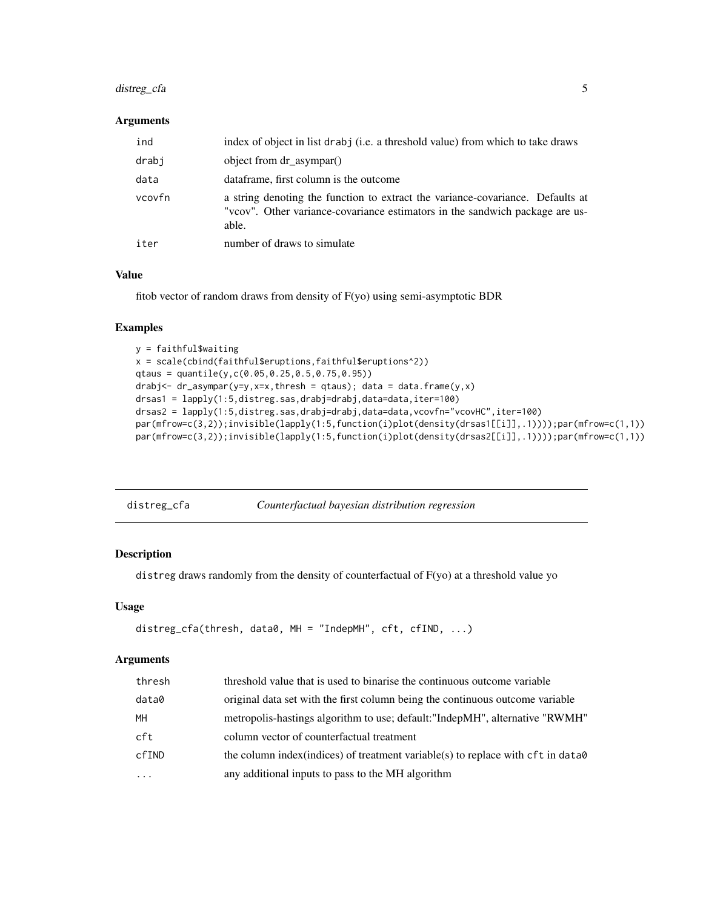# <span id="page-4-0"></span>distreg\_cfa 5

#### Arguments

| ind    | index of object in list drabj (i.e. a threshold value) from which to take draws                                                                                         |
|--------|-------------------------------------------------------------------------------------------------------------------------------------------------------------------------|
| drabi  | object from dr_asympar()                                                                                                                                                |
| data   | dataframe, first column is the outcome                                                                                                                                  |
| vcovfn | a string denoting the function to extract the variance-covariance. Defaults at<br>"vcov". Other variance-covariance estimators in the sandwich package are us-<br>able. |
| iter   | number of draws to simulate                                                                                                                                             |

#### Value

fitob vector of random draws from density of F(yo) using semi-asymptotic BDR

# Examples

```
y = faithful$waiting
x = scale(cbind(faithful$eruptions,faithful$eruptions^2))
qtaus = quantile(y,c(0.05,0.25,0.5,0.75,0.95))
drabj <- dr_asympar(y=y,x=x,thresh = qtaus); data = data.frame(y,x)
drsas1 = lapply(1:5,distreg.sas,drabj=drabj,data=data,iter=100)
drsas2 = lapply(1:5,distreg.sas,drabj=drabj,data=data,vcovfn="vcovHC",iter=100)
par(mfrow=c(3,2));invisible(lapply(1:5,function(i)plot(density(drsas1[[i]],.1))));par(mfrow=c(1,1))
par(mfrow=c(3,2));invisible(lapply(1:5,function(i)plot(density(drsas2[[i]],.1))));par(mfrow=c(1,1))
```

| distreg_cfa | Counterfactual bayesian distribution regression |  |
|-------------|-------------------------------------------------|--|
|-------------|-------------------------------------------------|--|

#### Description

distreg draws randomly from the density of counterfactual of F(yo) at a threshold value yo

#### Usage

```
distreg_cfa(thresh, data0, MH = "IndepMH", cft, cfIND, ...)
```
#### Arguments

| thresh   | threshold value that is used to binarise the continuous outcome variable          |
|----------|-----------------------------------------------------------------------------------|
| data0    | original data set with the first column being the continuous outcome variable     |
| MH       | metropolis-hastings algorithm to use; default: "IndepMH", alternative "RWMH"      |
| cft      | column vector of counterfactual treatment                                         |
| cfIND    | the column index (indices) of treatment variable (s) to replace with cft in data0 |
| $\cdots$ | any additional inputs to pass to the MH algorithm                                 |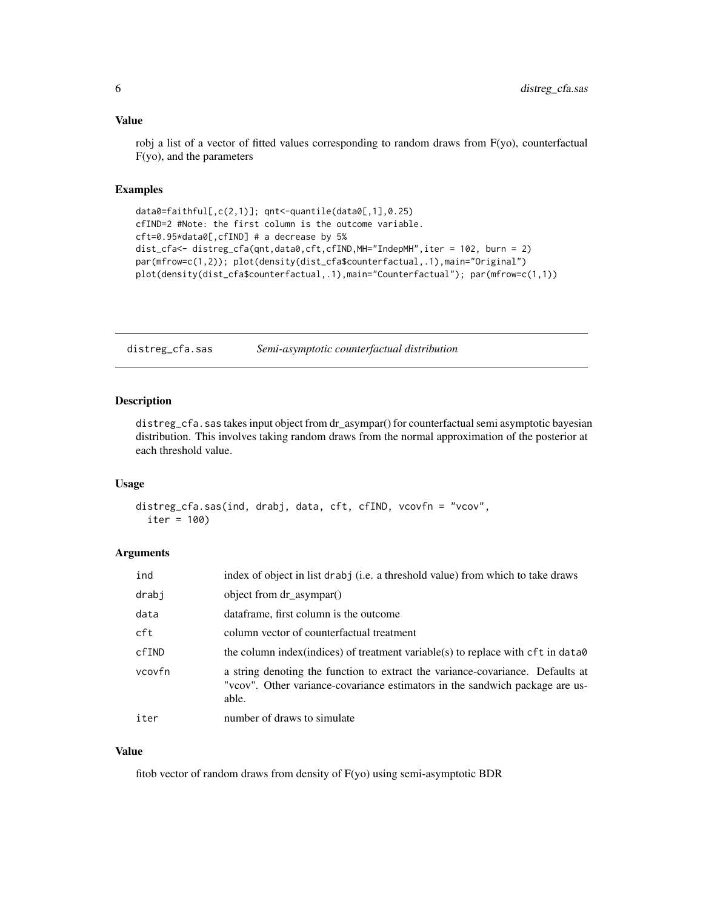#### <span id="page-5-0"></span>Value

robj a list of a vector of fitted values corresponding to random draws from F(yo), counterfactual F(yo), and the parameters

#### Examples

```
data0=faithful[,c(2,1)]; qnt<-quantile(data0[,1],0.25)
cfIND=2 #Note: the first column is the outcome variable.
cft=0.95*data0[,cfIND] # a decrease by 5%
dist_cfa<- distreg_cfa(qnt,data0,cft,cfIND,MH="IndepMH",iter = 102, burn = 2)
par(mfrow=c(1,2)); plot(density(dist_cfa$counterfactual,.1),main="Original")
plot(density(dist_cfa$counterfactual,.1),main="Counterfactual"); par(mfrow=c(1,1))
```
distreg\_cfa.sas *Semi-asymptotic counterfactual distribution*

# Description

distreg\_cfa.sas takes input object from dr\_asympar() for counterfactual semi asymptotic bayesian distribution. This involves taking random draws from the normal approximation of the posterior at each threshold value.

#### Usage

```
distreg_cfa.sas(ind, drabj, data, cft, cfIND, vcovfn = "vcov",
  iter = 100)
```
#### **Arguments**

| ind    | index of object in list drabj (i.e. a threshold value) from which to take draws                                                                                         |
|--------|-------------------------------------------------------------------------------------------------------------------------------------------------------------------------|
| drabj  | object from dr_asympar()                                                                                                                                                |
| data   | dataframe, first column is the outcome                                                                                                                                  |
| cft    | column vector of counterfactual treatment                                                                                                                               |
| cfIND  | the column index (indices) of treatment variable(s) to replace with cft in data0                                                                                        |
| vcovfn | a string denoting the function to extract the variance-covariance. Defaults at<br>"vcov". Other variance-covariance estimators in the sandwich package are us-<br>able. |
| iter   | number of draws to simulate                                                                                                                                             |

# Value

fitob vector of random draws from density of F(yo) using semi-asymptotic BDR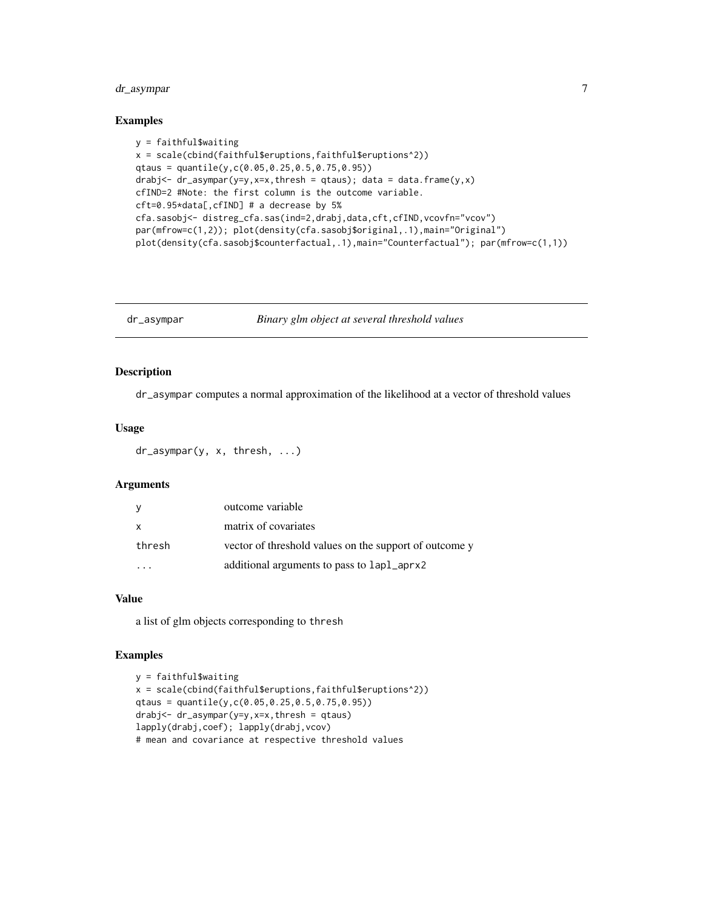# <span id="page-6-0"></span>dr\_asympar 7

#### Examples

```
y = faithful$waiting
x = scale(cbind(faithful$eruptions,faithful$eruptions^2))
qtaus = quantile(y,c(0.05,0.25,0.5,0.75,0.95))
drabj <- dr_asympar(y=y, x=x, thresh = qtaus); data = data.frame(y, x)
cfIND=2 #Note: the first column is the outcome variable.
cft=0.95*data[,cfIND] # a decrease by 5%
cfa.sasobj<- distreg_cfa.sas(ind=2,drabj,data,cft,cfIND,vcovfn="vcov")
par(mfrow=c(1,2)); plot(density(cfa.sasobj$original,.1),main="Original")
plot(density(cfa.sasobj$counterfactual,.1),main="Counterfactual"); par(mfrow=c(1,1))
```
dr\_asympar *Binary glm object at several threshold values*

# Description

dr\_asympar computes a normal approximation of the likelihood at a vector of threshold values

# Usage

dr\_asympar(y, x, thresh, ...)

#### Arguments

| y            | outcome variable                                       |
|--------------|--------------------------------------------------------|
| $\mathsf{x}$ | matrix of covariates                                   |
| thresh       | vector of threshold values on the support of outcome y |
|              | additional arguments to pass to lapl_aprx2             |

#### Value

a list of glm objects corresponding to thresh

```
y = faithful$waiting
x = scale(cbind(faithful\{eruptions, faithful\{eruptions^2)})
qtaus = quantile(y,c(0.05,0.25,0.5,0.75,0.95))
drabj<- dr_asympar(y=y,x=x,thresh = qtaus)
lapply(drabj,coef); lapply(drabj,vcov)
# mean and covariance at respective threshold values
```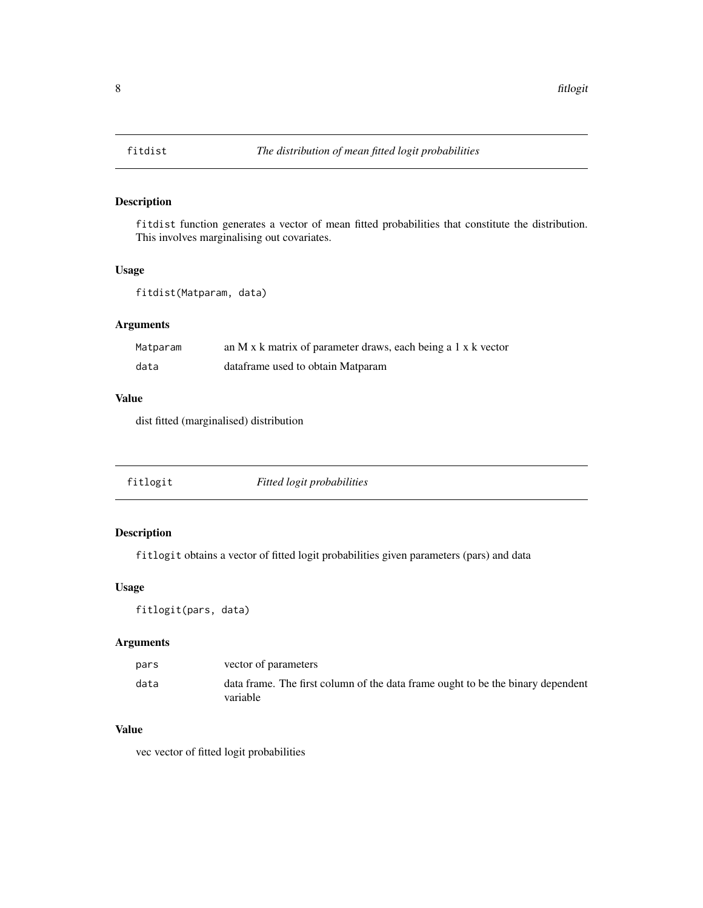<span id="page-7-0"></span>

fitdist function generates a vector of mean fitted probabilities that constitute the distribution. This involves marginalising out covariates.

# Usage

```
fitdist(Matparam, data)
```
# Arguments

| Matparam | an M x k matrix of parameter draws, each being a 1 x k vector |
|----------|---------------------------------------------------------------|
| data     | dataframe used to obtain Matparam                             |

# Value

dist fitted (marginalised) distribution

|--|--|--|--|

# Description

fitlogit obtains a vector of fitted logit probabilities given parameters (pars) and data

### Usage

fitlogit(pars, data)

# Arguments

| pars | vector of parameters                                                                        |
|------|---------------------------------------------------------------------------------------------|
| data | data frame. The first column of the data frame ought to be the binary dependent<br>variable |

#### Value

vec vector of fitted logit probabilities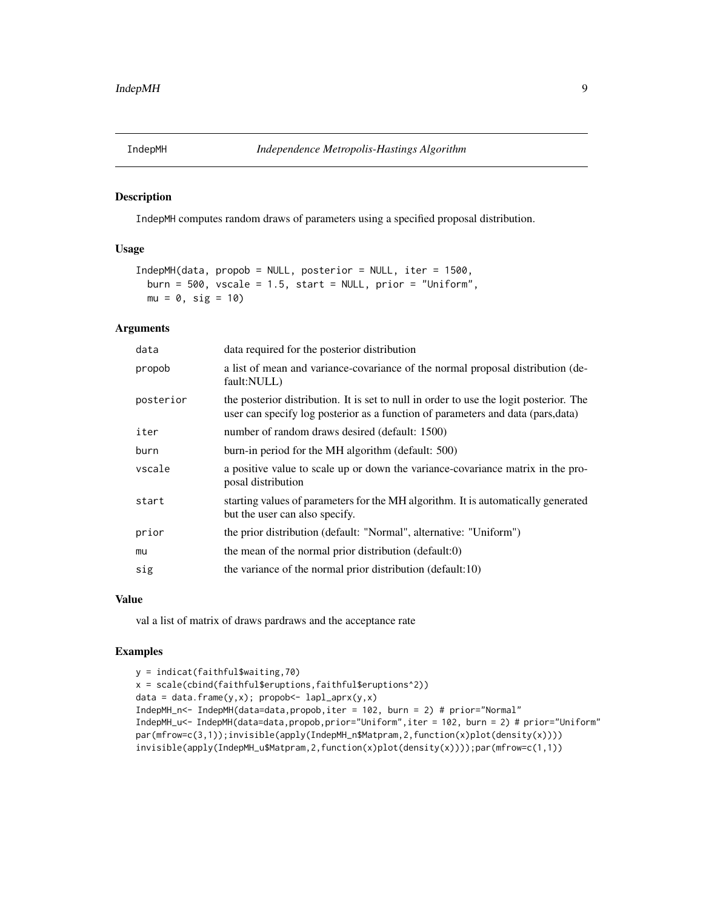<span id="page-8-0"></span>

IndepMH computes random draws of parameters using a specified proposal distribution.

#### Usage

```
IndepMH(data, propob = NULL, posterior = NULL, iter = 1500,
 burn = 500, vscale = 1.5, start = NULL, prior = "Uniform",
 mu = 0, sig = 10)
```
# Arguments

| data      | data required for the posterior distribution                                                                                                                               |  |
|-----------|----------------------------------------------------------------------------------------------------------------------------------------------------------------------------|--|
| propob    | a list of mean and variance-covariance of the normal proposal distribution (de-<br>fault:NULL)                                                                             |  |
| posterior | the posterior distribution. It is set to null in order to use the logit posterior. The<br>user can specify log posterior as a function of parameters and data (pars, data) |  |
| iter      | number of random draws desired (default: 1500)                                                                                                                             |  |
| burn      | burn-in period for the MH algorithm (default: 500)                                                                                                                         |  |
| vscale    | a positive value to scale up or down the variance-covariance matrix in the pro-<br>posal distribution                                                                      |  |
| start     | starting values of parameters for the MH algorithm. It is automatically generated<br>but the user can also specify.                                                        |  |
| prior     | the prior distribution (default: "Normal", alternative: "Uniform")                                                                                                         |  |
| mu        | the mean of the normal prior distribution (default:0)                                                                                                                      |  |
| sig       | the variance of the normal prior distribution (default:10)                                                                                                                 |  |

#### Value

val a list of matrix of draws pardraws and the acceptance rate

```
y = indicat(faithful$waiting,70)
x = scale(cbind(faithful$eruptions,faithful$eruptions^2))
data = data.frame(y,x); propob<- lapl_aprx(y,x)
IndepMH_n<- IndepMH(data=data,propob,iter = 102, burn = 2) # prior="Normal"
IndepMH_u<- IndepMH(data=data,propob,prior="Uniform",iter = 102, burn = 2) # prior="Uniform"
par(mfrow=c(3,1));invisible(apply(IndepMH_n$Matpram,2,function(x)plot(density(x))))
invisible(apply(IndepMH_u$Matpram,2,function(x)plot(density(x))));par(mfrow=c(1,1))
```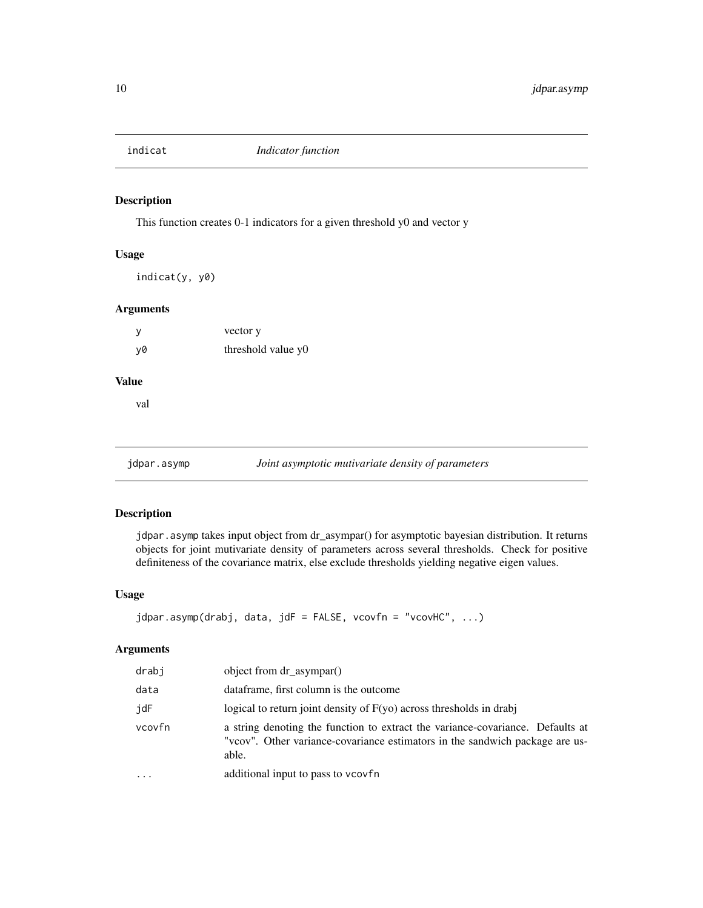<span id="page-9-0"></span>

This function creates 0-1 indicators for a given threshold y0 and vector y

# Usage

indicat(y, y0)

# Arguments

| у  | vector y           |  |
|----|--------------------|--|
| y0 | threshold value y0 |  |

# Value

val

jdpar.asymp *Joint asymptotic mutivariate density of parameters* 

#### Description

jdpar.asymp takes input object from dr\_asympar() for asymptotic bayesian distribution. It returns objects for joint mutivariate density of parameters across several thresholds. Check for positive definiteness of the covariance matrix, else exclude thresholds yielding negative eigen values.

#### Usage

```
jdpar.asymp(drabj, data, jdF = FALSE, vcovfn = "vcovHC", ...)
```
# Arguments

| drabj     | object from dr_asympar()                                                                                                                                                |
|-----------|-------------------------------------------------------------------------------------------------------------------------------------------------------------------------|
| data      | dataframe, first column is the outcome                                                                                                                                  |
| jdF       | logical to return joint density of $F(yo)$ across thresholds in drabj                                                                                                   |
| vcovfn    | a string denoting the function to extract the variance-covariance. Defaults at<br>"vcov". Other variance-covariance estimators in the sandwich package are us-<br>able. |
| $\ddotsc$ | additional input to pass to veovfn                                                                                                                                      |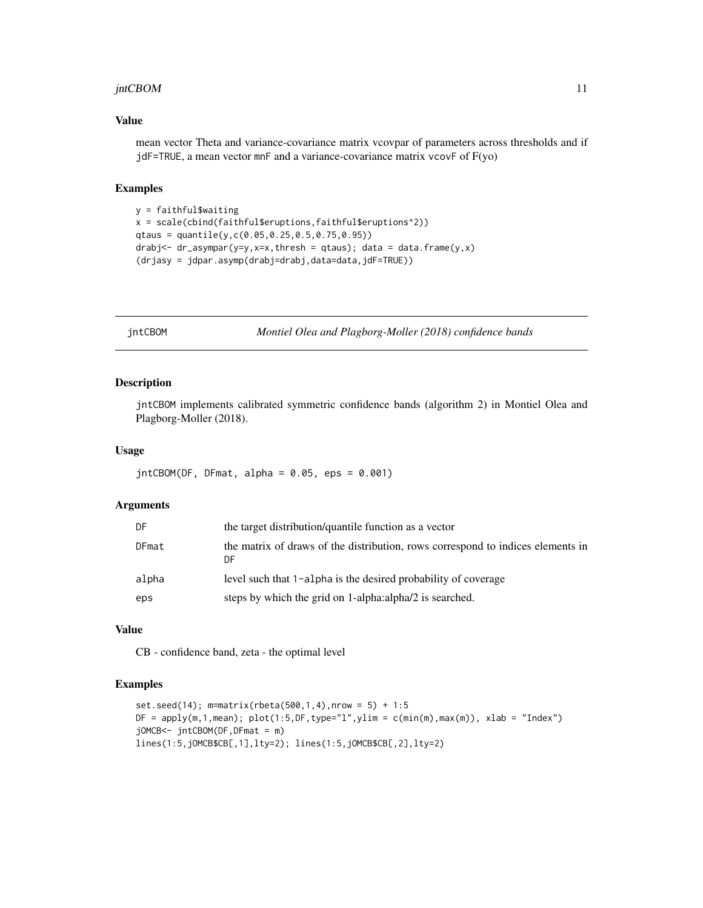#### <span id="page-10-0"></span>jntCBOM 11

#### Value

mean vector Theta and variance-covariance matrix vcovpar of parameters across thresholds and if jdF=TRUE, a mean vector mnF and a variance-covariance matrix vcovF of F(yo)

# Examples

```
y = faithful$waiting
x = scale(cbind(faithful$eruptions,faithful$eruptions^2))
qtaus = quantile(y,c(0.05,0.25,0.5,0.75,0.95))
drabj<- dr_aasympar(y=y,x=x,thresh = qtaus); data = data.frame(y,x)
(drjasy = jdpar.asymp(drabj=drabj,data=data,jdF=TRUE))
```
jntCBOM *Montiel Olea and Plagborg-Moller (2018) confidence bands*

#### Description

jntCBOM implements calibrated symmetric confidence bands (algorithm 2) in Montiel Olea and Plagborg-Moller (2018).

#### Usage

 $jntCBOM(DF, DF, a1pha = 0.05, eps = 0.001)$ 

#### Arguments

| DF    | the target distribution/quantile function as a vector                                 |
|-------|---------------------------------------------------------------------------------------|
| DFmat | the matrix of draws of the distribution, rows correspond to indices elements in<br>DF |
| alpha | level such that 1-alpha is the desired probability of coverage                        |
| eps   | steps by which the grid on 1-alpha: alpha/2 is searched.                              |

### Value

CB - confidence band, zeta - the optimal level

```
set.seed(14); m=matrix(rbeta(500,1,4),nrow = 5) + 1:5DF = apply(m, 1, mean); plot(1:5, DF, type="1", ylim = c(min(m), max(m)), xlab = "Index")jOMCB<- jntCBOM(DF,DFmat = m)
lines(1:5,jOMCB$CB[,1],lty=2); lines(1:5,jOMCB$CB[,2],lty=2)
```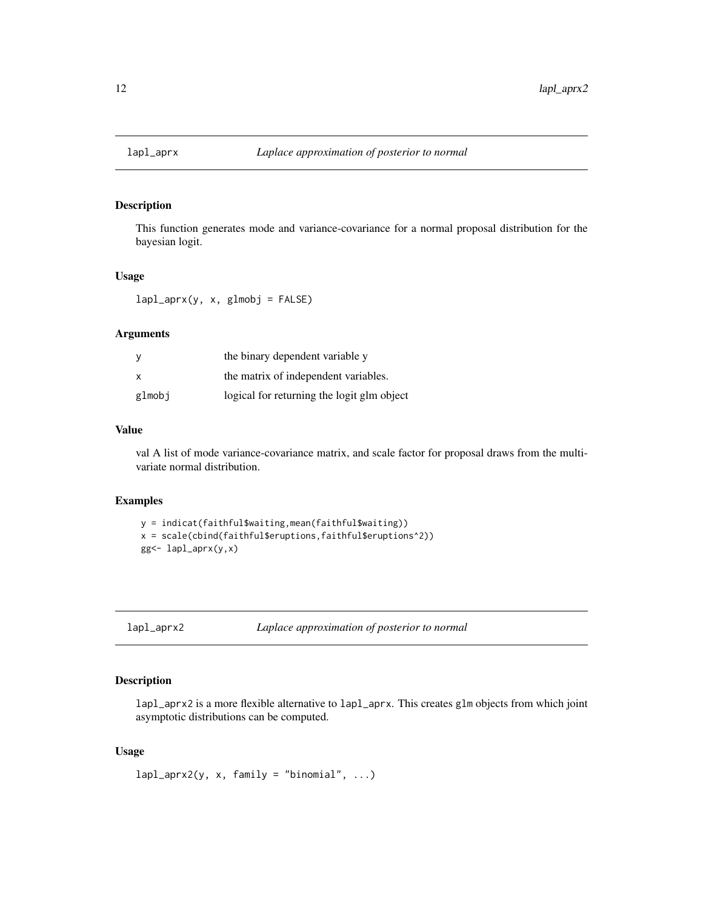<span id="page-11-0"></span>

This function generates mode and variance-covariance for a normal proposal distribution for the bayesian logit.

#### Usage

 $lapl_aprx(y, x, glmobj = FALSE)$ 

### Arguments

| у      | the binary dependent variable y            |  |
|--------|--------------------------------------------|--|
| x      | the matrix of independent variables.       |  |
| glmobj | logical for returning the logit glm object |  |

#### Value

val A list of mode variance-covariance matrix, and scale factor for proposal draws from the multivariate normal distribution.

#### Examples

```
y = indicat(faithful$waiting,mean(faithful$waiting))
x = scale(cbind(faithful$eruptions,faithful$eruptions^2))
gg<- lapl_aprx(y,x)
```
lapl\_aprx2 *Laplace approximation of posterior to normal*

# Description

lapl\_aprx2 is a more flexible alternative to lapl\_aprx. This creates glm objects from which joint asymptotic distributions can be computed.

# Usage

 $lapl$ <sub>2</sub>prx2(y, x, family = "binomial", ...)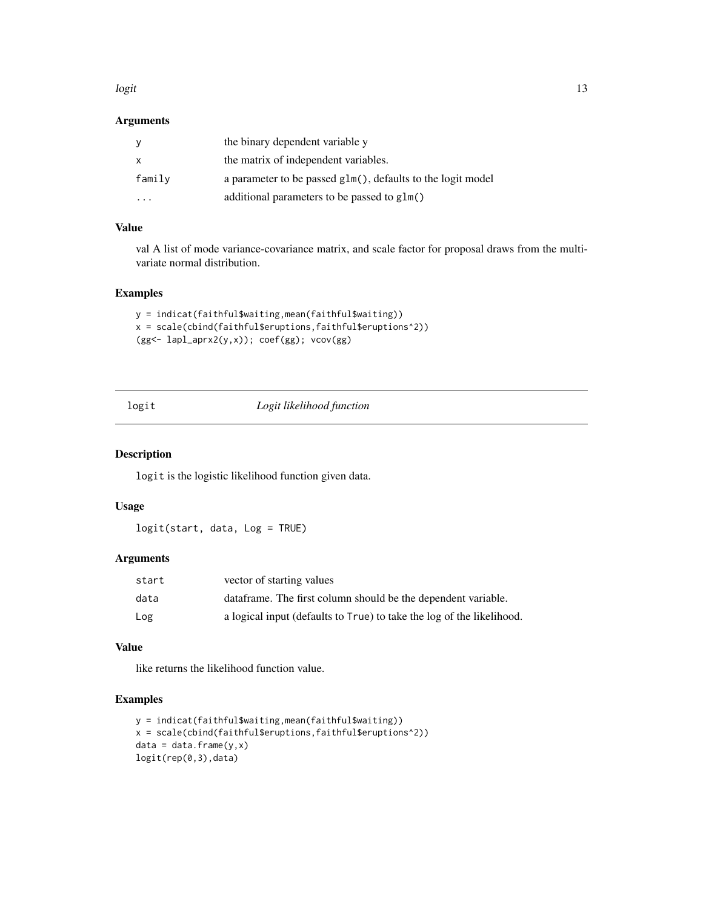#### <span id="page-12-0"></span>logit the contract of the contract of the contract of the contract of the contract of the contract of the contract of the contract of the contract of the contract of the contract of the contract of the contract of the cont

# Arguments

|                      | the binary dependent variable y                             |
|----------------------|-------------------------------------------------------------|
| x                    | the matrix of independent variables.                        |
| family               | a parameter to be passed glm(), defaults to the logit model |
| $\ddot{\phantom{0}}$ | additional parameters to be passed to glm()                 |

# Value

val A list of mode variance-covariance matrix, and scale factor for proposal draws from the multivariate normal distribution.

#### Examples

```
y = indicat(faithful$waiting,mean(faithful$waiting))
x = scale(cbind(faithful$eruptions,faithful$eruptions^2))
(gg<- lapl_aprx2(y,x)); coef(gg); vcov(gg)
```
# logit *Logit likelihood function*

# Description

logit is the logistic likelihood function given data.

# Usage

logit(start, data, Log = TRUE)

# Arguments

| start | vector of starting values                                             |
|-------|-----------------------------------------------------------------------|
| data  | data frame. The first column should be the dependent variable.        |
| Log   | a logical input (defaults to True) to take the log of the likelihood. |

#### Value

like returns the likelihood function value.

```
y = indicat(faithful$waiting,mean(faithful$waiting))
x = scale(cbind(faithful$eruptions,faithful$eruptions^2))
data = data-frame(y, x)logit(rep(0,3),data)
```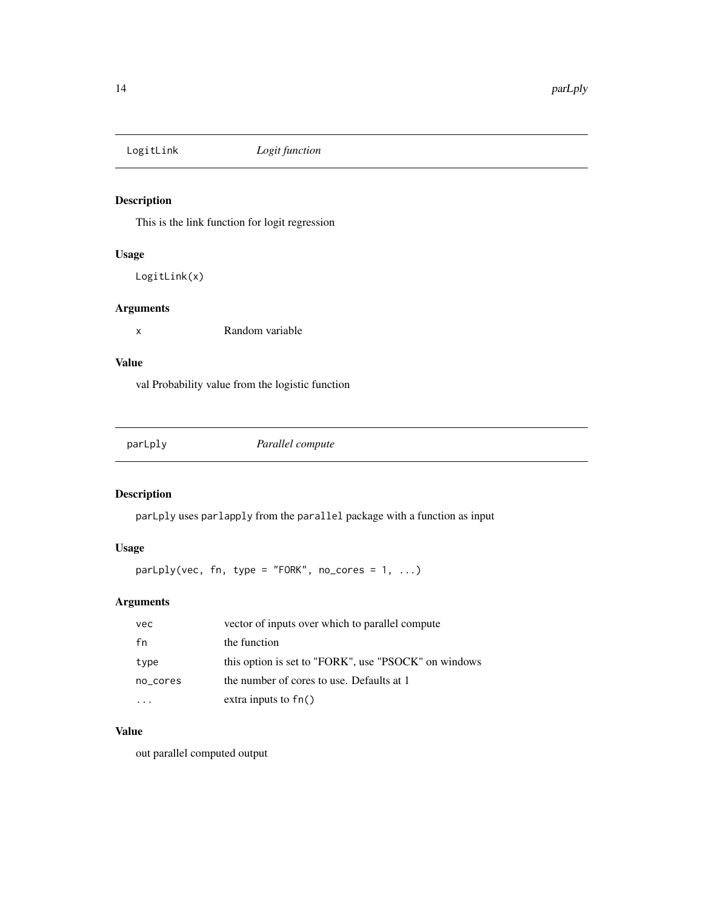<span id="page-13-0"></span>

This is the link function for logit regression

#### Usage

LogitLink(x)

#### Arguments

x Random variable

# Value

val Probability value from the logistic function

|--|

# Description

parLply uses parlapply from the parallel package with a function as input

# Usage

 $parLply(vec, fn, type = "FORK", no\_cores = 1, ...)$ 

# Arguments

| vec      | vector of inputs over which to parallel compute      |  |
|----------|------------------------------------------------------|--|
| fn       | the function                                         |  |
| type     | this option is set to "FORK", use "PSOCK" on windows |  |
| no cores | the number of cores to use. Defaults at 1            |  |
|          | extra inputs to $fn()$                               |  |

# Value

out parallel computed output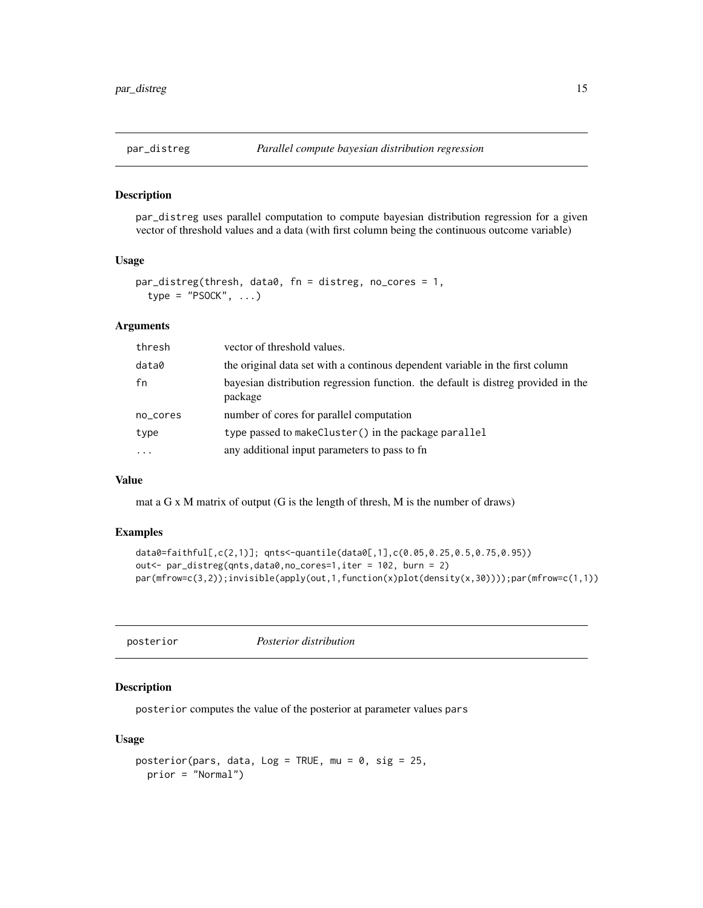<span id="page-14-0"></span>

par\_distreg uses parallel computation to compute bayesian distribution regression for a given vector of threshold values and a data (with first column being the continuous outcome variable)

#### Usage

```
par_distreg(thresh, data0, fn = distreg, no_cores = 1,
  type = "PSOCK", ...)
```
#### **Arguments**

| thresh   | vector of threshold values.                                                                  |
|----------|----------------------------------------------------------------------------------------------|
| data0    | the original data set with a continous dependent variable in the first column                |
| fn       | bayesian distribution regression function. the default is distreg provided in the<br>package |
| no_cores | number of cores for parallel computation                                                     |
| type     | type passed to makeCluster() in the package parallel                                         |
| $\cdots$ | any additional input parameters to pass to fn                                                |

# Value

mat a G x M matrix of output (G is the length of thresh, M is the number of draws)

#### Examples

```
data0=faithful[,c(2,1)]; qnts<-quantile(data0[,1],c(0.05,0.25,0.5,0.75,0.95))
out<- par_distreg(qnts,data0,no_cores=1,iter = 102, burn = 2)
par(mfrow=c(3,2));invisible(apply(out,1,function(x)plot(density(x,30))));par(mfrow=c(1,1))
```

| posterior |  |
|-----------|--|
|           |  |

posterior *Posterior distribution*

# Description

posterior computes the value of the posterior at parameter values pars

# Usage

```
posterior(pars, data, Log = TRUE, mu = 0, sig = 25,
 prior = "Normal")
```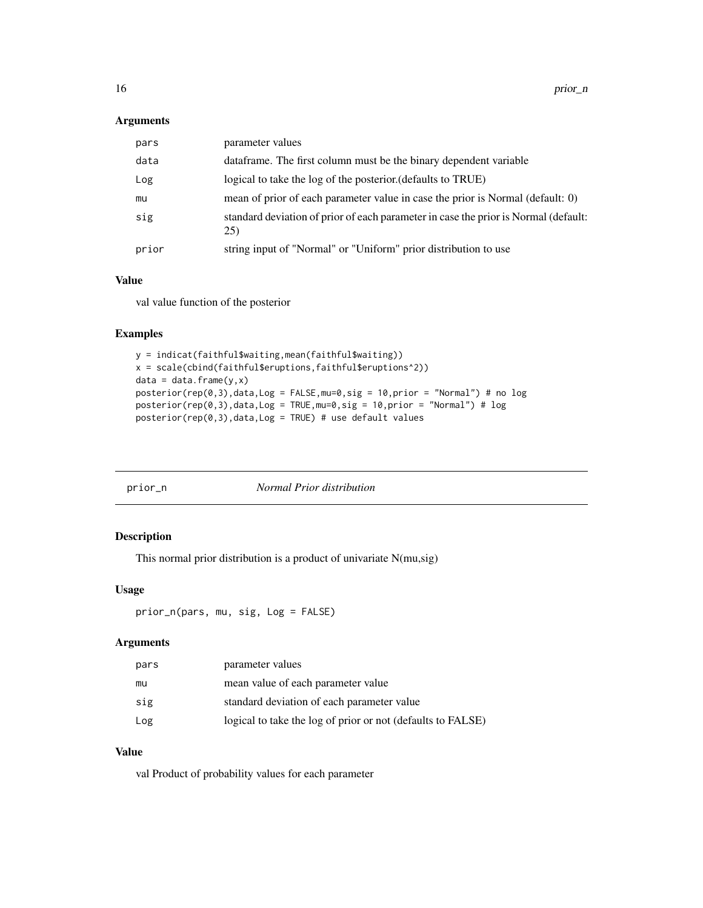#### <span id="page-15-0"></span>Arguments

| pars  | parameter values                                                                           |
|-------|--------------------------------------------------------------------------------------------|
| data  | data frame. The first column must be the binary dependent variable                         |
| Log   | logical to take the log of the posterior. (defaults to TRUE)                               |
| mu    | mean of prior of each parameter value in case the prior is Normal (default: 0)             |
| sig   | standard deviation of prior of each parameter in case the prior is Normal (default:<br>25) |
| prior | string input of "Normal" or "Uniform" prior distribution to use                            |

#### Value

val value function of the posterior

# Examples

```
y = indicat(faithful$waiting,mean(faithful$waiting))
x = scale(cbind(faithful$eruptions,faithful$eruptions^2))
data = data.frame(y, x)posterior(rep(0,3),data,Log = FALSE,mu=0,sig = 10,prior = "Normal") # no logposterior(rep(0,3),data,Log = TRUE,mu=0,sig = 10,prior = "Normal") # logposterior(rep(0,3),data,Log = TRUE) # use default values
```

| prior_n | Normal Prior distribution |
|---------|---------------------------|
|         |                           |

# Description

This normal prior distribution is a product of univariate N(mu,sig)

# Usage

```
prior_n(pars, mu, sig, Log = FALSE)
```
# Arguments

| pars | parameter values                                            |
|------|-------------------------------------------------------------|
| mu   | mean value of each parameter value                          |
| sig  | standard deviation of each parameter value                  |
| Log  | logical to take the log of prior or not (defaults to FALSE) |

# Value

val Product of probability values for each parameter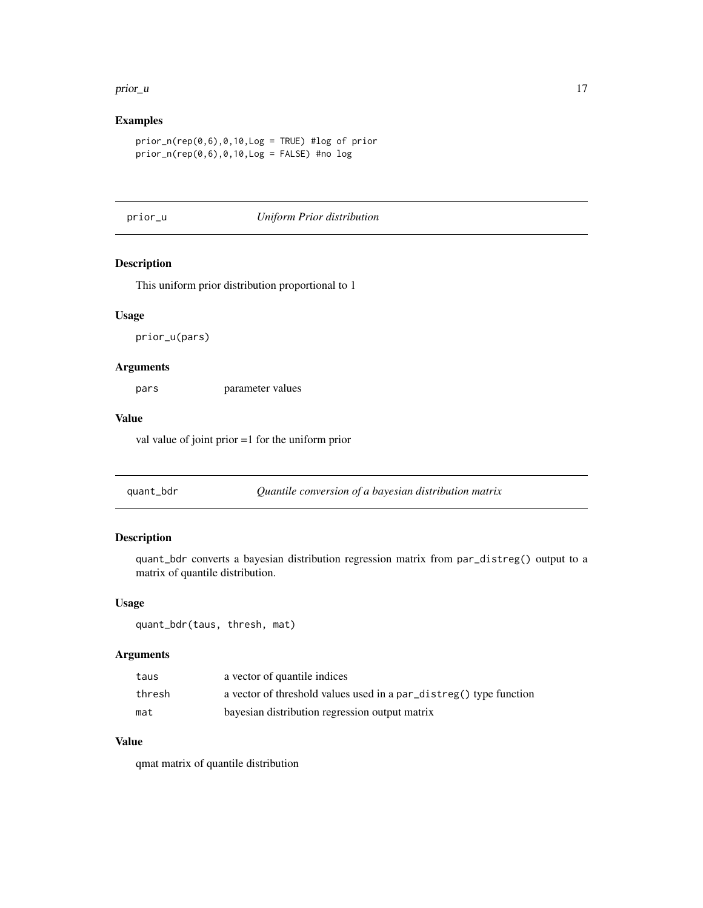#### <span id="page-16-0"></span>prior\_u and the set of the set of the set of the set of the set of the set of the set of the set of the set of the set of the set of the set of the set of the set of the set of the set of the set of the set of the set of t

# Examples

```
prior_n(rep(0,6),0,10,Log = TRUE) #log of prior
prior_n(rep(0,6),0,10,Log = FALSE) #no log
```
#### prior\_u *Uniform Prior distribution*

# Description

This uniform prior distribution proportional to 1

# Usage

prior\_u(pars)

# Arguments

pars parameter values

#### Value

val value of joint prior =1 for the uniform prior

quant\_bdr *Quantile conversion of a bayesian distribution matrix*

# Description

quant\_bdr converts a bayesian distribution regression matrix from par\_distreg() output to a matrix of quantile distribution.

#### Usage

quant\_bdr(taus, thresh, mat)

# Arguments

| taus   | a vector of quantile indices                                       |
|--------|--------------------------------------------------------------------|
| thresh | a vector of threshold values used in a par_distreg() type function |
| mat    | bayesian distribution regression output matrix                     |

#### Value

qmat matrix of quantile distribution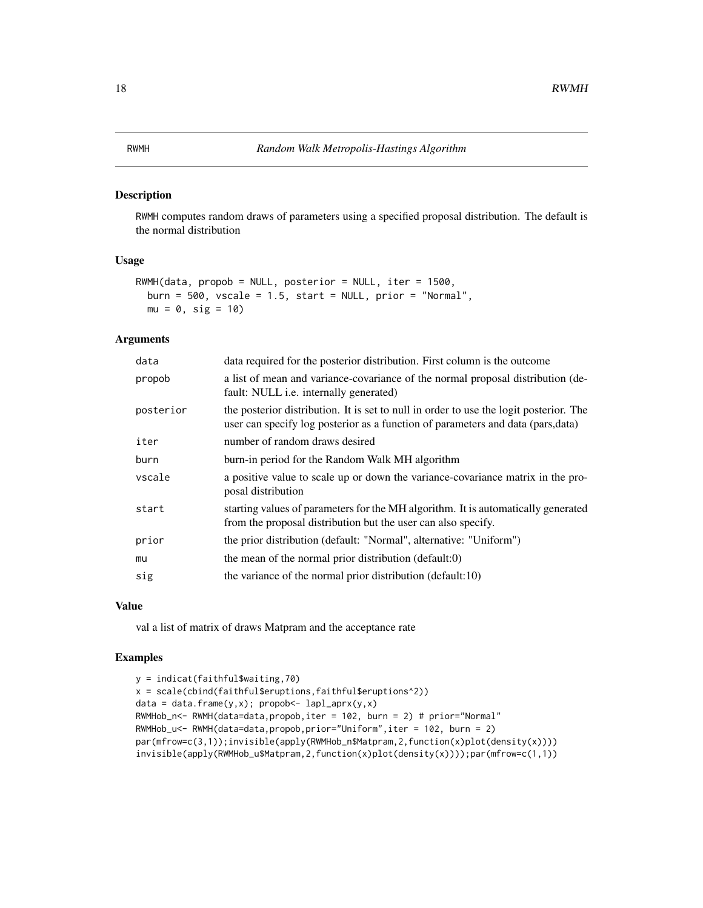<span id="page-17-0"></span>RWMH computes random draws of parameters using a specified proposal distribution. The default is the normal distribution

#### Usage

```
RWMH(data, propob = NULL, posterior = NULL, iter = 1500,
 burn = 500, vscale = 1.5, start = NULL, prior = "Normal",
 mu = 0, sig = 10
```
# Arguments

| data      | data required for the posterior distribution. First column is the outcome                                                                                                  |
|-----------|----------------------------------------------------------------------------------------------------------------------------------------------------------------------------|
| propob    | a list of mean and variance-covariance of the normal proposal distribution (de-<br>fault: NULL <i>i.e.</i> internally generated)                                           |
| posterior | the posterior distribution. It is set to null in order to use the logit posterior. The<br>user can specify log posterior as a function of parameters and data (pars, data) |
| iter      | number of random draws desired                                                                                                                                             |
| burn      | burn-in period for the Random Walk MH algorithm                                                                                                                            |
| vscale    | a positive value to scale up or down the variance-covariance matrix in the pro-<br>posal distribution                                                                      |
| start     | starting values of parameters for the MH algorithm. It is automatically generated<br>from the proposal distribution but the user can also specify.                         |
| prior     | the prior distribution (default: "Normal", alternative: "Uniform")                                                                                                         |
| mu        | the mean of the normal prior distribution (default:0)                                                                                                                      |
| sig       | the variance of the normal prior distribution (default:10)                                                                                                                 |

# Value

val a list of matrix of draws Matpram and the acceptance rate

```
y = indicat(faithful$waiting,70)
x = scale(cbind(faithful$eruptions,faithful$eruptions^2))
data = data-frame(y, x); propob<- lapl_aprx(y, x)RWMHob_n<- RWMH(data=data,propob,iter = 102, burn = 2) # prior="Normal"
RWMHob_u<- RWMH(data=data,propob,prior="Uniform",iter = 102, burn = 2)
par(mfrow=c(3,1));invisible(apply(RWMHob_n$Matpram,2,function(x)plot(density(x))))
invisible(apply(RWMHob_u$Matpram,2,function(x)plot(density(x))));par(mfrow=c(1,1))
```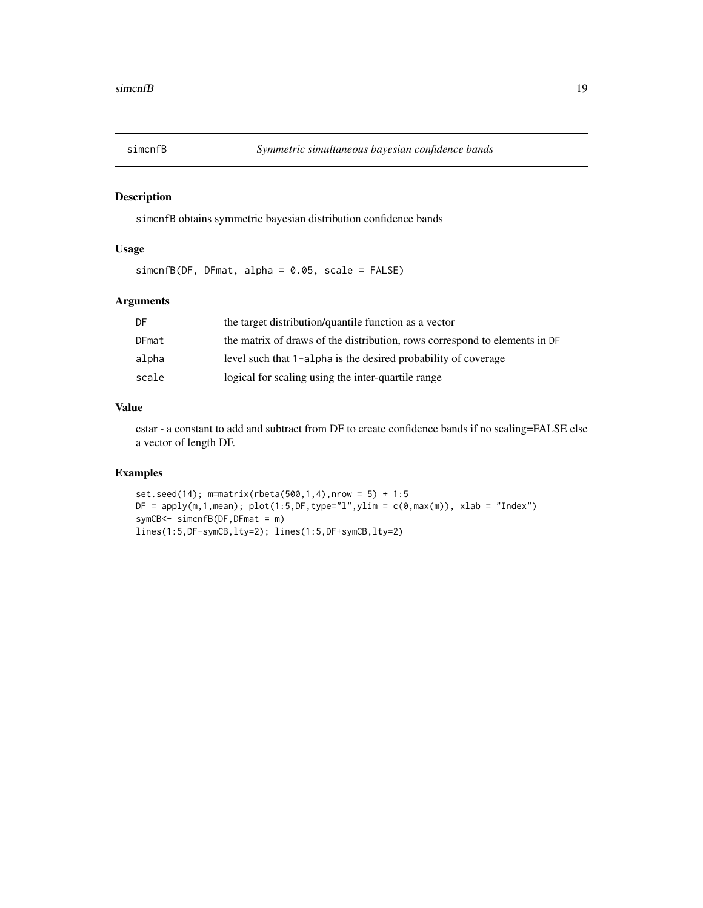<span id="page-18-0"></span>

simcnfB obtains symmetric bayesian distribution confidence bands

# Usage

simcnfB(DF, DFmat, alpha = 0.05, scale = FALSE)

# Arguments

| DF    | the target distribution/quantile function as a vector                      |
|-------|----------------------------------------------------------------------------|
| DFmat | the matrix of draws of the distribution, rows correspond to elements in DF |
| alpha | level such that 1-alpha is the desired probability of coverage             |
| scale | logical for scaling using the inter-quartile range                         |

#### Value

cstar - a constant to add and subtract from DF to create confidence bands if no scaling=FALSE else a vector of length DF.

```
set.seed(14); m=matrix(rbeta(500,1,4),nrow = 5) + 1:5
DF = apply(m, 1, mean); plot(1:5, DF, type="1", ylim = c(0, max(m)), xlab = "Index")symCB<- simcnfB(DF,DFmat = m)
lines(1:5,DF-symCB,lty=2); lines(1:5,DF+symCB,lty=2)
```